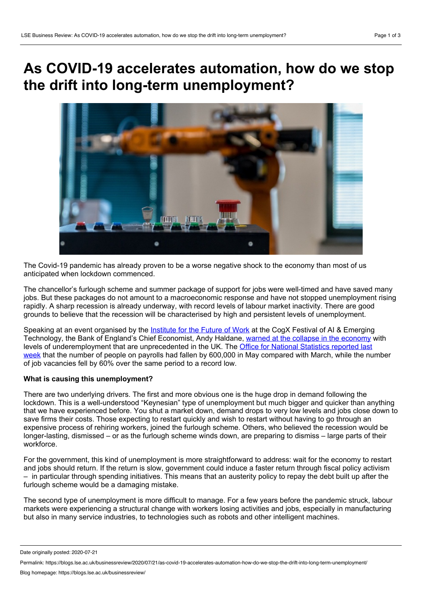## **As COVID-19 accelerates automation, how do we stop the drift into long-term unemployment?**



The Covid-19 pandemic has already proven to be a worse negative shock to the economy than most of us anticipated when lockdown commenced.

The chancellor's furlough scheme and summer package of support for jobs were well-timed and have saved many jobs. But these packages do not amount to a macroeconomic response and have not stopped unemployment rising rapidly. A sharp recession is already underway, with record levels of labour market inactivity. There are good grounds to believe that the recession will be characterised by high and persistent levels of unemployment.

Speaking at an event organised by the [Institute](https://www.ifow.org/) for the Future of Work at the CogX Festival of AI & Emerging Technology, the Bank of England's Chief Economist, Andy Haldane, warned at the collapse in the [economy](https://www.thetimes.co.uk/article/inactivity-in-jobs-market-is-worst-on-record-says-bank-of-england-economist-andy-haldane-wt2lsxc7f) with levels of [underemployment](https://www.ons.gov.uk/employmentandlabourmarket/peopleinwork/employmentandemployeetypes/bulletins/uklabourmarket/june2020) that are unprecedented in the UK. The Office for National Statistics reported last week that the number of people on payrolls had fallen by 600,000 in May compared with March, while the number of job vacancies fell by 60% over the same period to a record low.

## **What is causing this unemployment?**

There are two underlying drivers. The first and more obvious one is the huge drop in demand following the lockdown. This is a well-understood "Keynesian" type of unemployment but much bigger and quicker than anything that we have experienced before. You shut a market down, demand drops to very low levels and jobs close down to save firms their costs. Those expecting to restart quickly and wish to restart without having to go through an expensive process of rehiring workers, joined the furlough scheme. Others, who believed the recession would be longer-lasting, dismissed – or as the furlough scheme winds down, are preparing to dismiss – large parts of their workforce.

For the government, this kind of unemployment is more straightforward to address: wait for the economy to restart and jobs should return. If the return is slow, government could induce a faster return through fiscal policy activism – in particular through spending initiatives. This means that an austerity policy to repay the debt built up after the furlough scheme would be a damaging mistake.

The second type of unemployment is more difficult to manage. For a few years before the pandemic struck, labour markets were experiencing a structural change with workers losing activities and jobs, especially in manufacturing but also in many service industries, to technologies such as robots and other intelligent machines.

Date originally posted: 2020-07-21

Permalink: https://blogs.lse.ac.uk/businessreview/2020/07/21/as-covid-19-accelerates-automation-how-do-we-stop-the-drift-into-long-term-unemployment/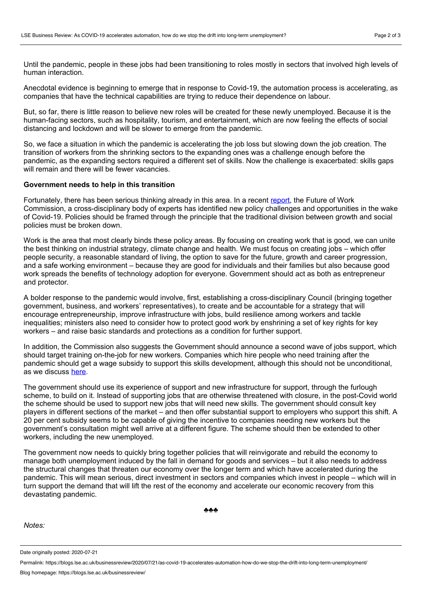Until the pandemic, people in these jobs had been transitioning to roles mostly in sectors that involved high levels of human interaction.

Anecdotal evidence is beginning to emerge that in response to Covid-19, the automation process is accelerating, as companies that have the technical capabilities are trying to reduce their dependence on labour.

But, so far, there is little reason to believe new roles will be created for these newly unemployed. Because it is the human-facing sectors, such as hospitality, tourism, and entertainment, which are now feeling the effects of social distancing and lockdown and will be slower to emerge from the pandemic.

So, we face a situation in which the pandemic is accelerating the job loss but slowing down the job creation. The transition of workers from the shrinking sectors to the expanding ones was a challenge enough before the pandemic, as the expanding sectors required a different set of skills. Now the challenge is exacerbated: skills gaps will remain and there will be fewer vacancies.

## **Government needs to help in this transition**

Fortunately, there has been serious thinking already in this area. In a recent [report](https://www.ifow.org/publications/2020/6/10/a-rapid-review-with-the-future-of-work-commission-a-better-future-for-work-the-world-after-covid-19), the Future of Work Commission, a cross-disciplinary body of experts has identified new policy challenges and opportunities in the wake of Covid-19. Policies should be framed through the principle that the traditional division between growth and social policies must be broken down.

Work is the area that most clearly binds these policy areas. By focusing on creating work that is good, we can unite the best thinking on industrial strategy, climate change and health. We must focus on creating jobs – which offer people security, a reasonable standard of living, the option to save for the future, growth and career progression, and a safe working environment – because they are good for individuals and their families but also because good work spreads the benefits of technology adoption for everyone. Government should act as both as entrepreneur and protector.

A bolder response to the pandemic would involve, first, establishing a cross-disciplinary Council (bringing together government, business, and workers' representatives), to create and be accountable for a strategy that will encourage entrepreneurship, improve infrastructure with jobs, build resilience among workers and tackle inequalities; ministers also need to consider how to protect good work by enshrining a set of key rights for key workers – and raise basic standards and protections as a condition for further support.

In addition, the Commission also suggests the Government should announce a second wave of jobs support, which should target training on-the-job for new workers. Companies which hire people who need training after the pandemic should get a wage subsidy to support this skills development, although this should not be unconditional, as we discuss [here](https://www.ifow.org/news/2020/7/8/the-chancellors-summer-package-of-support-for-the-economy-is-welcome-but-a-more-strategic-response-is-required-to-ensure-a-lasting-recovery-writes-anna-thomas).

The government should use its experience of support and new infrastructure for support, through the furlough scheme, to build on it. Instead of supporting jobs that are otherwise threatened with closure, in the post-Covid world the scheme should be used to support new jobs that will need new skills. The government should consult key players in different sections of the market – and then offer substantial support to employers who support this shift. A 20 per cent subsidy seems to be capable of giving the incentive to companies needing new workers but the government's consultation might well arrive at a different figure. The scheme should then be extended to other workers, including the new unemployed.

The government now needs to quickly bring together policies that will reinvigorate and rebuild the economy to manage both unemployment induced by the fall in demand for goods and services – but it also needs to address the structural changes that threaten our economy over the longer term and which have accelerated during the pandemic. This will mean serious, direct investment in sectors and companies which invest in people – which will in turn support the demand that will lift the rest of the economy and accelerate our economic recovery from this devastating pandemic.

*Notes:*

Date originally posted: 2020-07-21

Permalink: https://blogs.lse.ac.uk/businessreview/2020/07/21/as-covid-19-accelerates-automation-how-do-we-stop-the-drift-into-long-term-unemployment/